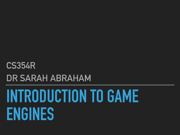# **INTRODUCTION TO GAME ENGINES**

**CS354R DR SARAH ABRAHAM**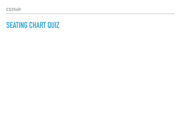**CS354R**

#### **SEATING CHART QUIZ**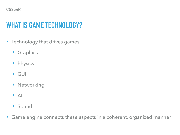# **WHAT IS GAME TECHNOLOGY?**

- ‣ Technology that drives games
	- ‣ Graphics
	- ‣ Physics
	- ‣ GUI
	- ‣ Networking
	- $\triangleright$  AI
	- ‣ Sound
- ‣ Game engine connects these aspects in a coherent, organized manner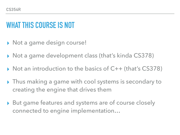# **WHAT THIS COURSE IS NOT**

- ▶ Not a game design course!
- ▸ Not a game development class (that's kinda CS378)
- ▸ Not an introduction to the basics of C++ (that's CS378)
- ▸ Thus making a game with cool systems is secondary to creating the engine that drives them
- ▸ But game features and systems are of course closely connected to engine implementation…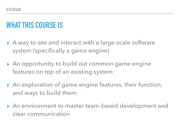## **WHAT THIS COURSE IS**

- ▶ A way to see and interact with a large-scale software system (specifically a game engine)
- ▶ An opportunity to build out common game engine features on top of an existing system
- ▶ An exploration of game engine features, their function, and ways to build them
- ▸ An environment to master team-based development and clear communication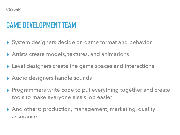# **GAME DEVELOPMENT TEAM**

- ▸ System designers decide on game format and behavior
- ▶ Artists create models, textures, and animations
- ▶ Level designers create the game spaces and interactions
- ▸ Audio designers handle sounds
- ▸ Programmers write code to put everything together and create tools to make everyone else's job easier
- ▸ And others: production, management, marketing, quality assurance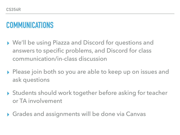# **COMMUNICATIONS**

- ▸ We'll be using Piazza and Discord for questions and answers to specific problems, and Discord for class communication/in-class discussion
- ▸ Please join both so you are able to keep up on issues and ask questions
- ▸ Students should work together before asking for teacher or TA involvement
- ▶ Grades and assignments will be done via Canvas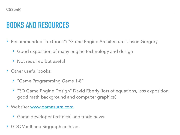# **BOOKS AND RESOURCES**

- ▶ Recommended "textbook": "Game Engine Architecture" Jason Gregory
	- ‣ Good exposition of many engine technology and design
	- ‣ Not required but useful
- **Cther useful books:** 
	- ▶ "Game Programming Gems 1-8"
	- ‣ "3D Game Engine Design" David Eberly (lots of equations, less exposition, good math background and computer graphics)
- ‣ Website: [www.gamasutra.com](http://www.gamasutra.com/)
	- ‣ Game developer technical and trade news
- ‣ GDC Vault and Siggraph archives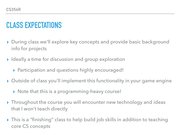# **CLASS EXPECTATIONS**

- ▸ During class we'll explore key concepts and provide basic background info for projects
- ▸ Ideally a time for discussion and group exploration
	- ▶ Participation and questions highly encouraged!
- ▸ Outside of class you'll implement this functionality in your game engine
	- ▸ Note that this is a programming-heavy course!
- ▸ Throughout the course you will encounter new technology and ideas that I won't teach directly
- ▸ This is a "finishing" class to help build job skills in addition to teaching core CS concepts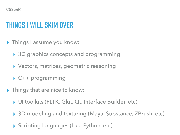# **THINGS I WILL SKIM OVER**

- ▸ Things I assume you know:
	- ▸ 3D graphics concepts and programming
	- ▸ Vectors, matrices, geometric reasoning
	- ▸ C++ programming
- ▶ Things that are nice to know:
	- ▸ UI toolkits (FLTK, Glut, Qt, Interface Builder, etc)
	- ▸ 3D modeling and texturing (Maya, Substance, ZBrush, etc)
	- ▶ Scripting languages (Lua, Python, etc)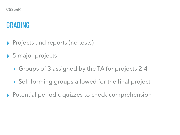#### **GRADING**

- ▶ Projects and reports (no tests)
- ▶ 5 major projects
	- ▶ Groups of 3 assigned by the TA for projects 2-4
	- ▶ Self-forming groups allowed for the final project
- ▸ Potential periodic quizzes to check comprehension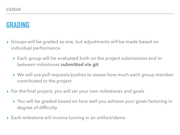#### **GRADING**

- ▸ Groups will be graded as one, but adjustments will be made based on individual performance
	- ▸ Each group will be evaluated both on the project submissions and inbetween milestones **submitted via git**
	- ▸ We will use pull requests/pushes to assess how much each group member contributed to the project
- ▶ For the final project, you will set your own milestones and goals
	- ▸ You will be graded based on how well you achieve your goals factoring in degree of difficulty
- ▶ Each milestone will involve turning in an artifact/demo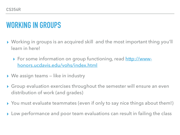# **WORKING IN GROUPS**

- ▸ Working in groups is an acquired skill and the most important thing you'll learn in here!
	- ▶ For some information on group functioning, read [http://www](http://www-honors.ucdavis.edu/vohs/index.html)[honors.ucdavis.edu/vohs/index.html](http://www-honors.ucdavis.edu/vohs/index.html)
- ▸ We assign teams like in industry
- ▸ Group evaluation exercises throughout the semester will ensure an even distribution of work (and grades)
- ▸ You must evaluate teammates (even if only to say nice things about them!)
- ▸ Low performance and poor team evaluations can result in failing the class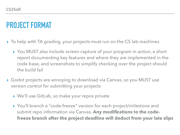## **PROJECT FORMAT**

- ▸ To help with TA grading, your projects must run on the CS lab machines
	- ▸ You MUST also include screen capture of your program in action, a short report documenting key features and where they are implemented in the code base, and screenshots to simplify checking over the project should the build fail
- ▸ Godot projects are annoying to download via Canvas, so you MUST use version control for submitting your projects
	- ▸ We'll use GitLab, so make your repos private
	- ▸ You'll branch a "code-freeze" version for each project/milestone and submit repo information via Canvas. **Any modifications to the codefreeze branch after the project deadline will deduct from your late slips**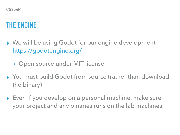# **THE ENGINE**

- ▸ We will be using Godot for our engine development <https://godotengine.org/>
	- ▶ Open source under MIT license
- ▸ You must build Godot from source (rather than download the binary)
- ▸ Even if you develop on a personal machine, make sure your project and any binaries runs on the lab machines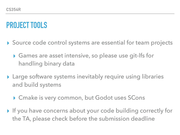#### **PROJECT TOOLS**

- ▶ Source code control systems are essential for team projects
	- ▸ Games are asset intensive, so please use git-lfs for handling binary data
- ▸ Large software systems inevitably require using libraries and build systems
	- ▸ Cmake is very common, but Godot uses SCons
- ▸ If you have concerns about your code building correctly for the TA, please check before the submission deadline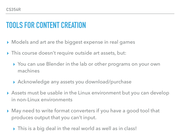# **TOOLS FOR CONTENT CREATION**

- ▸ Models and art are the biggest expense in real games
- ▸ This course doesn't require outside art assets, but:
	- ▸ You can use Blender in the lab or other programs on your own machines
	- ▸ Acknowledge any assets you download/purchase
- ▸ Assets must be usable in the Linux environment but you can develop in non-Linux environments
- ▶ May need to write format converters if you have a good tool that produces output that you can't input.
	- ▶ This is a big deal in the real world as well as in class!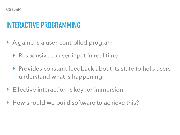# **INTERACTIVE PROGRAMMING**

- ‣ A game is a user-controlled program
	- ‣ Responsive to user input in real time
	- ▶ Provides constant feedback about its state to help users understand what is happening
- ‣ Effective interaction is key for immersion
- ‣ How should we build software to achieve this?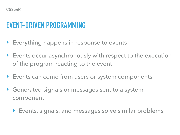# **EVENT-DRIVEN PROGRAMMING**

- ‣ Everything happens in response to events
- ‣ Events occur asynchronously with respect to the execution of the program reacting to the event
- ‣ Events can come from users or system components
- ‣ Generated signals or messages sent to a system component
	- ‣ Events, signals, and messages solve similar problems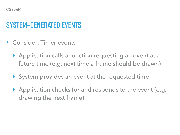## **SYSTEM-GENERATED EVENTS**

- ‣ Consider: Timer events
	- ‣ Application calls a function requesting an event at a future time (e.g. next time a frame should be drawn)
	- ‣ System provides an event at the requested time
	- ‣ Application checks for and responds to the event (e.g. drawing the next frame)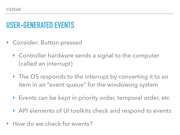# **USER-GENERATED EVENTS**

- ▶ Consider: Button pressed
	- ‣ Controller hardware sends a signal to the computer (called an interrupt)
	- ▶ The OS responds to the interrupt by converting it to an item in an "event queue" for the windowing system
	- ‣ Events can be kept in priority order, temporal order, etc
	- ‣ API elements of UI toolkits check and respond to events
- ▶ How do we check for events?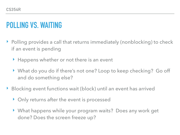# **POLLING VS. WAITING**

- ‣ Polling provides a call that returns immediately (nonblocking) to check if an event is pending
	- ▶ Happens whether or not there is an event
	- ‣ What do you do if there's not one? Loop to keep checking? Go off and do something else?
- ▶ Blocking event functions wait (block) until an event has arrived
	- ‣ Only returns after the event is processed
	- ‣ What happens while your program waits? Does any work get done? Does the screen freeze up?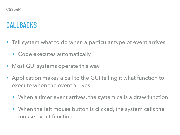# **CALLBACKS**

- ‣ Tell system what to do when a particular type of event arrives
	- ‣ Code executes automatically
- ▶ Most GUI systems operate this way
- ‣ Application makes a call to the GUI telling it what function to execute when the event arrives
	- ‣ When a timer event arrives, the system calls a draw function
	- ‣ When the left mouse button is clicked, the system calls the mouse event function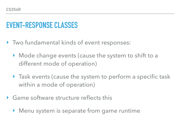#### **EVENT-RESPONSE CLASSES**

- ‣ Two fundamental kinds of event responses:
	- ‣ Mode change events (cause the system to shift to a different mode of operation)
	- ‣ Task events (cause the system to perform a specific task within a mode of operation)
- ‣ Game software structure reflects this
	- ‣ Menu system is separate from game runtime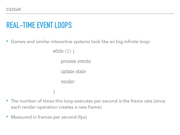# **REAL-TIME EVENT LOOPS**

‣ Games and similar interactive systems look like an big infinite loop:

while  $(1)$  {

process events

update state

render

- ▶ The number of times this loop executes per second is the frame rate (since each render operation creates a new frame)
- ‣ Measured in frames per second (fps)

}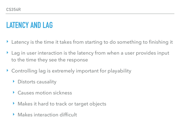# **LATENCY AND LAG**

- ‣ Latency is the time it takes from starting to do something to finishing it
- Lag in user interaction is the latency from when a user provides input to the time they see the response
- ‣ Controlling lag is extremely important for playability
	- ▶ Distorts causality
	- ‣ Causes motion sickness
	- ‣ Makes it hard to track or target objects
	- ‣ Makes interaction difficult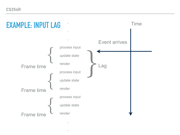**CS354R**



**.**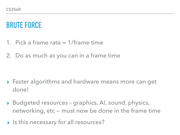# **BRUTE FORCE**

- 1. Pick a frame rate = 1/frame time
- 2. Do as much as you can in a frame time

- ▸ Faster algorithms and hardware means more can get done!
- ▸ Budgeted resources graphics, AI, sound, physics, networking, etc — must now be done in the frame time
- ▸ Is this necessary for all resources?